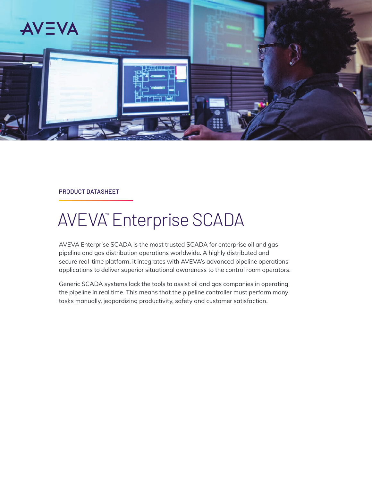

PRODUCT DATASHEET

# AVEVA™ Enterprise SCADA

AVEVA Enterprise SCADA is the most trusted SCADA for enterprise oil and gas pipeline and gas distribution operations worldwide. A highly distributed and secure real-time platform, it integrates with AVEVA's advanced pipeline operations applications to deliver superior situational awareness to the control room operators.

Generic SCADA systems lack the tools to assist oil and gas companies in operating the pipeline in real time. This means that the pipeline controller must perform many tasks manually, jeopardizing productivity, safety and customer satisfaction.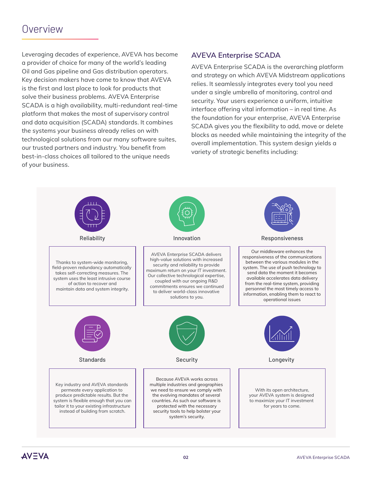## Overview

Leveraging decades of experience, AVEVA has become a provider of choice for many of the world's leading Oil and Gas pipeline and Gas distribution operators. Key decision makers have come to know that AVEVA is the first and last place to look for products that solve their business problems. AVEVA Enterprise SCADA is a high availability, multi-redundant real-time platform that makes the most of supervisory control and data acquisition (SCADA) standards. It combines the systems your business already relies on with technological solutions from our many software suites, our trusted partners and industry. You benefit from best-in-class choices all tailored to the unique needs of your business.

### **AVEVA Enterprise SCADA**

AVEVA Enterprise SCADA is the overarching platform and strategy on which AVEVA Midstream applications relies. It seamlessly integrates every tool you need under a single umbrella of monitoring, control and security. Your users experience a uniform, intuitive interface offering vital information – in real time. As the foundation for your enterprise, AVEVA Enterprise SCADA gives you the flexibility to add, move or delete blocks as needed while maintaining the integrity of the overall implementation. This system design yields a variety of strategic benefits including: